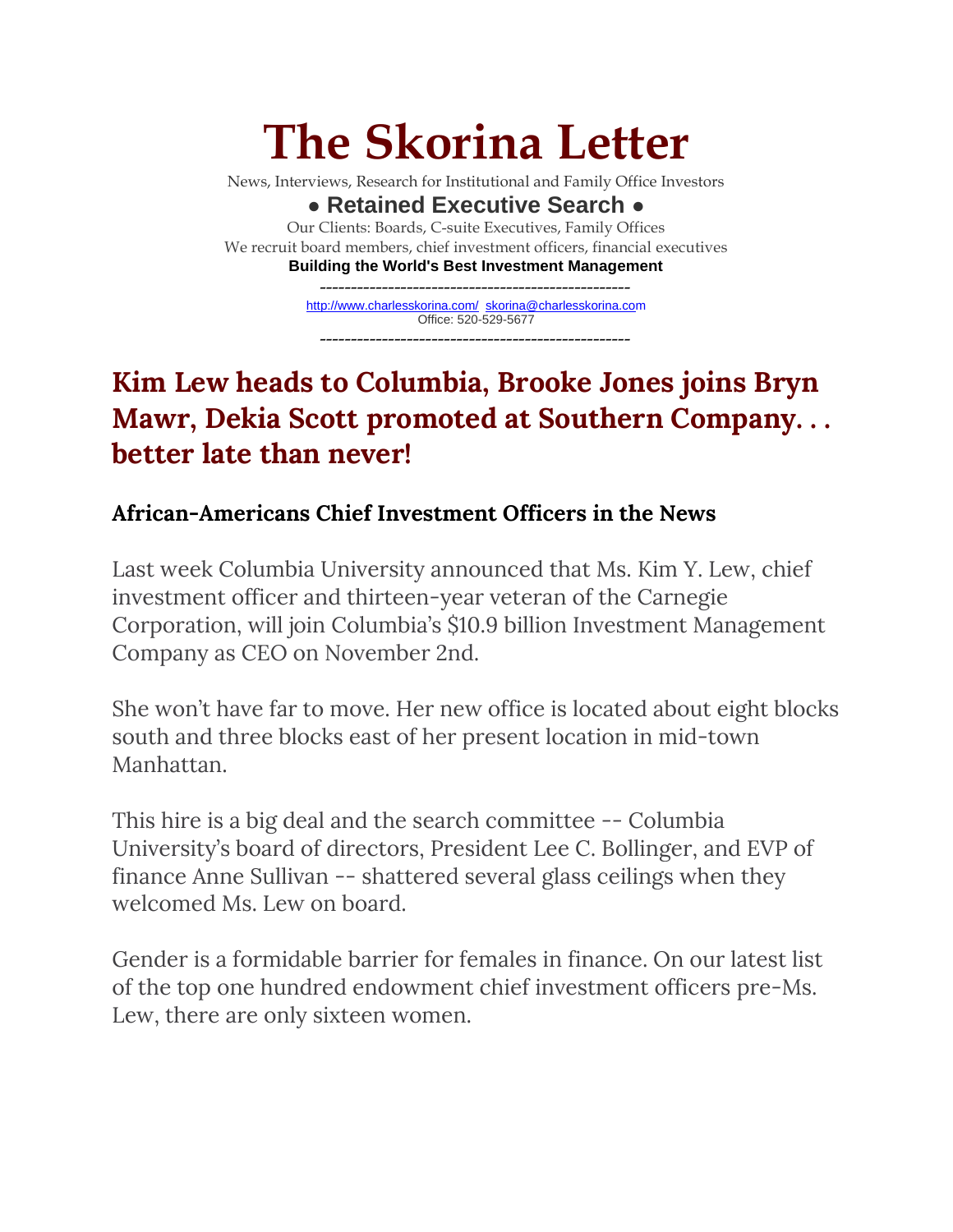# **The Skorina Letter**

News, Interviews, Research for Institutional and Family Office Investors

**● Retained Executive Search ●** Our Clients: Boards, C-suite Executives, Family Offices We recruit board members, chief investment officers, financial executives **Building the World's Best Investment Management**

> ------------------------------------------------- <http://www.charlesskorina.com/>[skorina@charlesskorina.com](mailto:skorina@charlesskorina.com) Office: 520-529-5677 --------------------------------------------------

# **Kim Lew heads to Columbia, Brooke Jones joins Bryn Mawr, Dekia Scott promoted at Southern Company. . . better late than never!**

## **African-Americans Chief Investment Officers in the News**

Last week Columbia University announced that Ms. Kim Y. Lew, chief investment officer and thirteen-year veteran of the Carnegie Corporation, will join Columbia's \$10.9 billion Investment Management Company as CEO on November 2nd.

She won't have far to move. Her new office is located about eight blocks south and three blocks east of her present location in mid-town Manhattan.

This hire is a big deal and the search committee -- Columbia University's board of directors, President Lee C. Bollinger, and EVP of finance Anne Sullivan -- shattered several glass ceilings when they welcomed Ms. Lew on board.

Gender is a formidable barrier for females in finance. On our latest list of the top one hundred endowment chief investment officers pre-Ms. Lew, there are only sixteen women.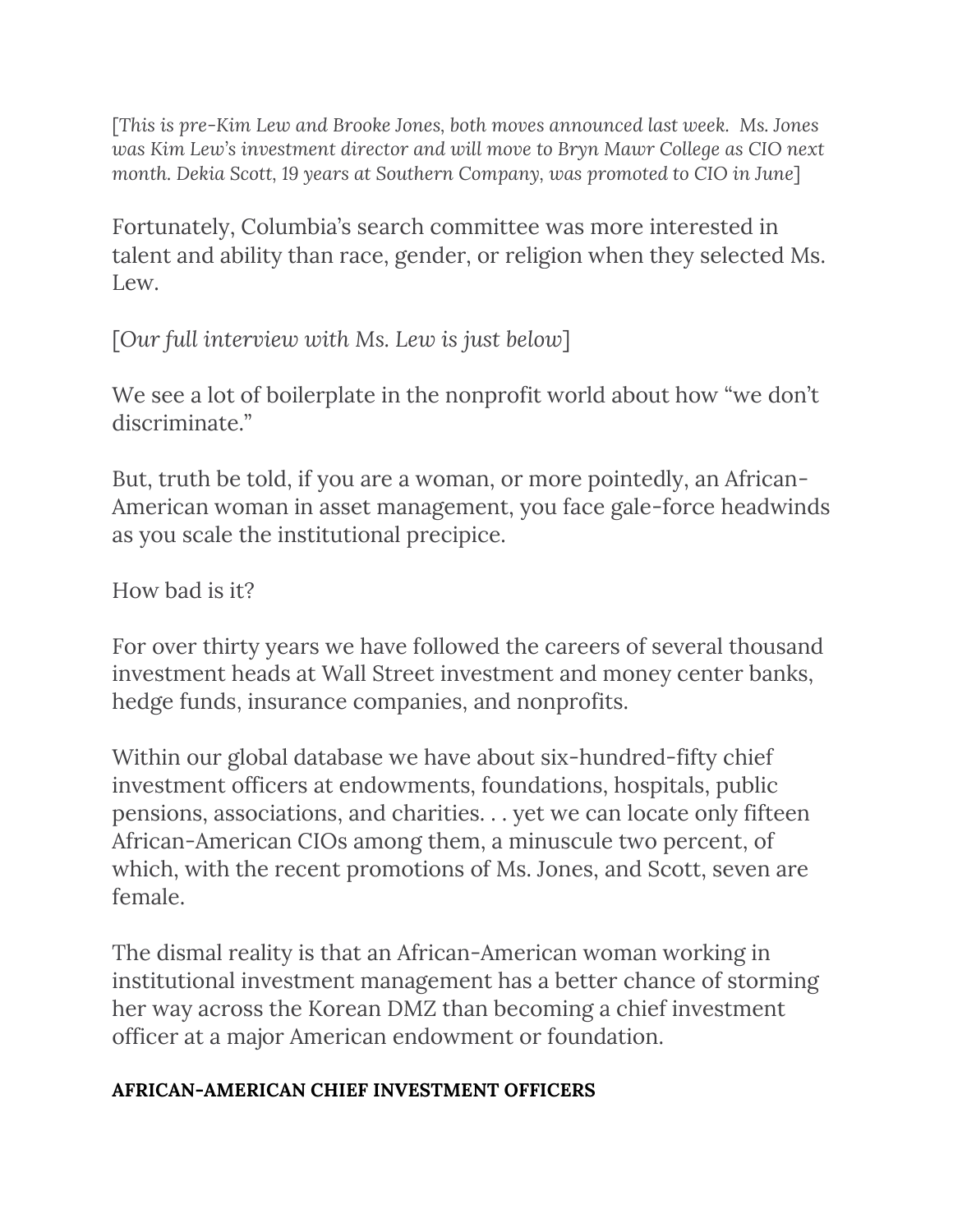[*This is pre-Kim Lew and Brooke Jones, both moves announced last week. Ms. Jones was Kim Lew's investment director and will move to Bryn Mawr College as CIO next month. Dekia Scott, 19 years at Southern Company, was promoted to CIO in June*]

Fortunately, Columbia's search committee was more interested in talent and ability than race, gender, or religion when they selected Ms. Lew.

[*Our full interview with Ms. Lew is just below*]

We see a lot of boilerplate in the nonprofit world about how "we don't discriminate."

But, truth be told, if you are a woman, or more pointedly, an African-American woman in asset management, you face gale-force headwinds as you scale the institutional precipice.

How bad is it?

For over thirty years we have followed the careers of several thousand investment heads at Wall Street investment and money center banks, hedge funds, insurance companies, and nonprofits.

Within our global database we have about six-hundred-fifty chief investment officers at endowments, foundations, hospitals, public pensions, associations, and charities. . . yet we can locate only fifteen African-American CIOs among them, a minuscule two percent, of which, with the recent promotions of Ms. Jones, and Scott, seven are female.

The dismal reality is that an African-American woman working in institutional investment management has a better chance of storming her way across the Korean DMZ than becoming a chief investment officer at a major American endowment or foundation.

### **AFRICAN-AMERICAN CHIEF INVESTMENT OFFICERS**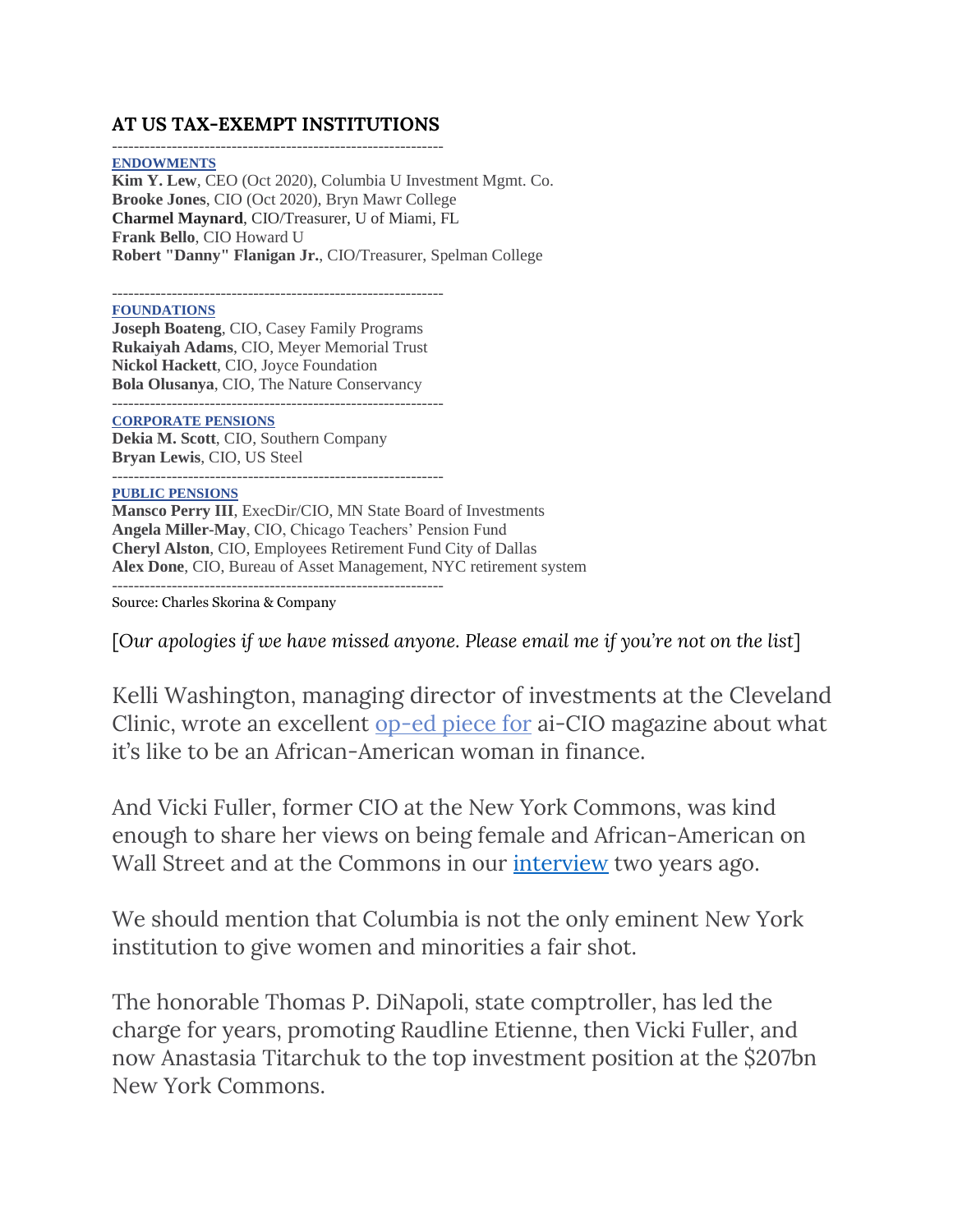#### **AT US TAX-EXEMPT INSTITUTIONS**

------------------------------------------------------------- **ENDOWMENTS Kim Y. Lew**, CEO (Oct 2020), Columbia U Investment Mgmt. Co. **Brooke Jones**, CIO (Oct 2020), Bryn Mawr College **Charmel Maynard**, CIO/Treasurer, U of Miami, FL **Frank Bello**, CIO Howard U **Robert "Danny" Flanigan Jr.**, CIO/Treasurer, Spelman College

-------------------------------------------------------------

**FOUNDATIONS**

**Joseph Boateng**, CIO, Casey Family Programs **Rukaiyah Adams**, CIO, Meyer Memorial Trust **Nickol Hackett**, CIO, Joyce Foundation **Bola Olusanya**, CIO, The Nature Conservancy -------------------------------------------------------------

**CORPORATE PENSIONS**

**Dekia M. Scott**, CIO, Southern Company **Bryan Lewis**, CIO, US Steel -------------------------------------------------------------

**PUBLIC PENSIONS Mansco Perry III**, ExecDir/CIO, MN State Board of Investments **Angela Miller-May**, CIO, Chicago Teachers' Pension Fund **Cheryl Alston**, CIO, Employees Retirement Fund City of Dallas **Alex Done**, CIO, Bureau of Asset Management, NYC retirement system -------------------------------------------------------------

Source: Charles Skorina & Company

[*Our apologies if we have missed anyone. Please email me if you're not on the list*]

Kelli Washington, managing director of investments at the Cleveland Clinic, wrote an excellent [op-ed piece for](https://www.ai-cio.com/news/op-ed-helped-become-allocator-african-american-woman/) ai-CIO magazine about what it's like to be an African-American woman in finance.

And Vicki Fuller, former CIO at the New York Commons, was kind enough to share her views on being female and African-American on Wall Street and at the Commons in our [interview](http://www.charlesskorina.com/?p=5644) two years ago.

We should mention that Columbia is not the only eminent New York institution to give women and minorities a fair shot.

The honorable Thomas P. DiNapoli, state comptroller, has led the charge for years, promoting Raudline Etienne, then Vicki Fuller, and now Anastasia Titarchuk to the top investment position at the \$207bn New York Commons.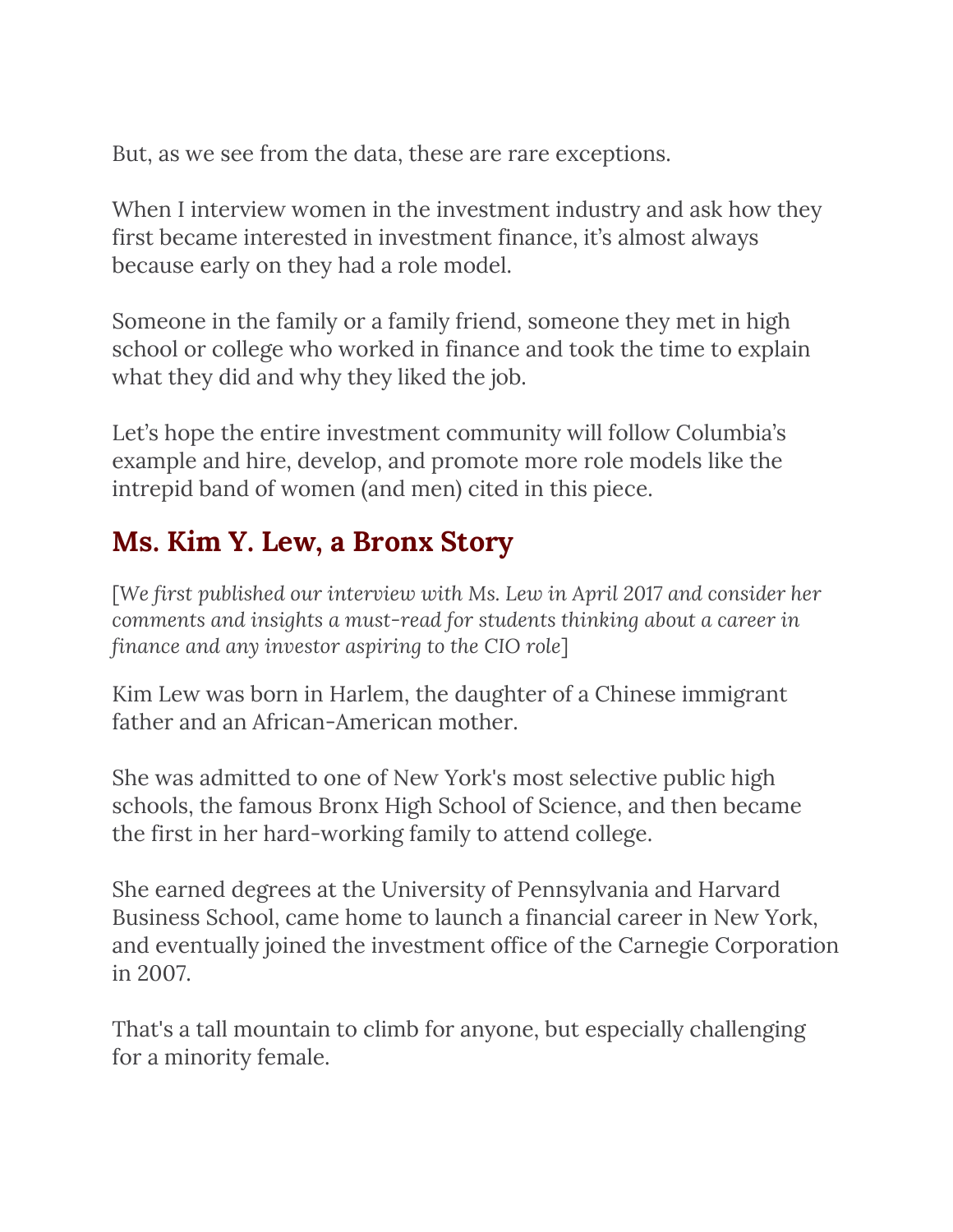But, as we see from the data, these are rare exceptions.

When I interview women in the investment industry and ask how they first became interested in investment finance, it's almost always because early on they had a role model.

Someone in the family or a family friend, someone they met in high school or college who worked in finance and took the time to explain what they did and why they liked the job.

Let's hope the entire investment community will follow Columbia's example and hire, develop, and promote more role models like the intrepid band of women (and men) cited in this piece.

# **Ms. Kim Y. Lew, a Bronx Story**

[*We first published our interview with Ms. Lew in April 2017 and consider her comments and insights a must-read for students thinking about a career in finance and any investor aspiring to the CIO role*]

Kim Lew was born in Harlem, the daughter of a Chinese immigrant father and an African-American mother.

She was admitted to one of New York's most selective public high schools, the famous Bronx High School of Science, and then became the first in her hard-working family to attend college.

She earned degrees at the University of Pennsylvania and Harvard Business School, came home to launch a financial career in New York, and eventually joined the investment office of the Carnegie Corporation in 2007.

That's a tall mountain to climb for anyone, but especially challenging for a minority female.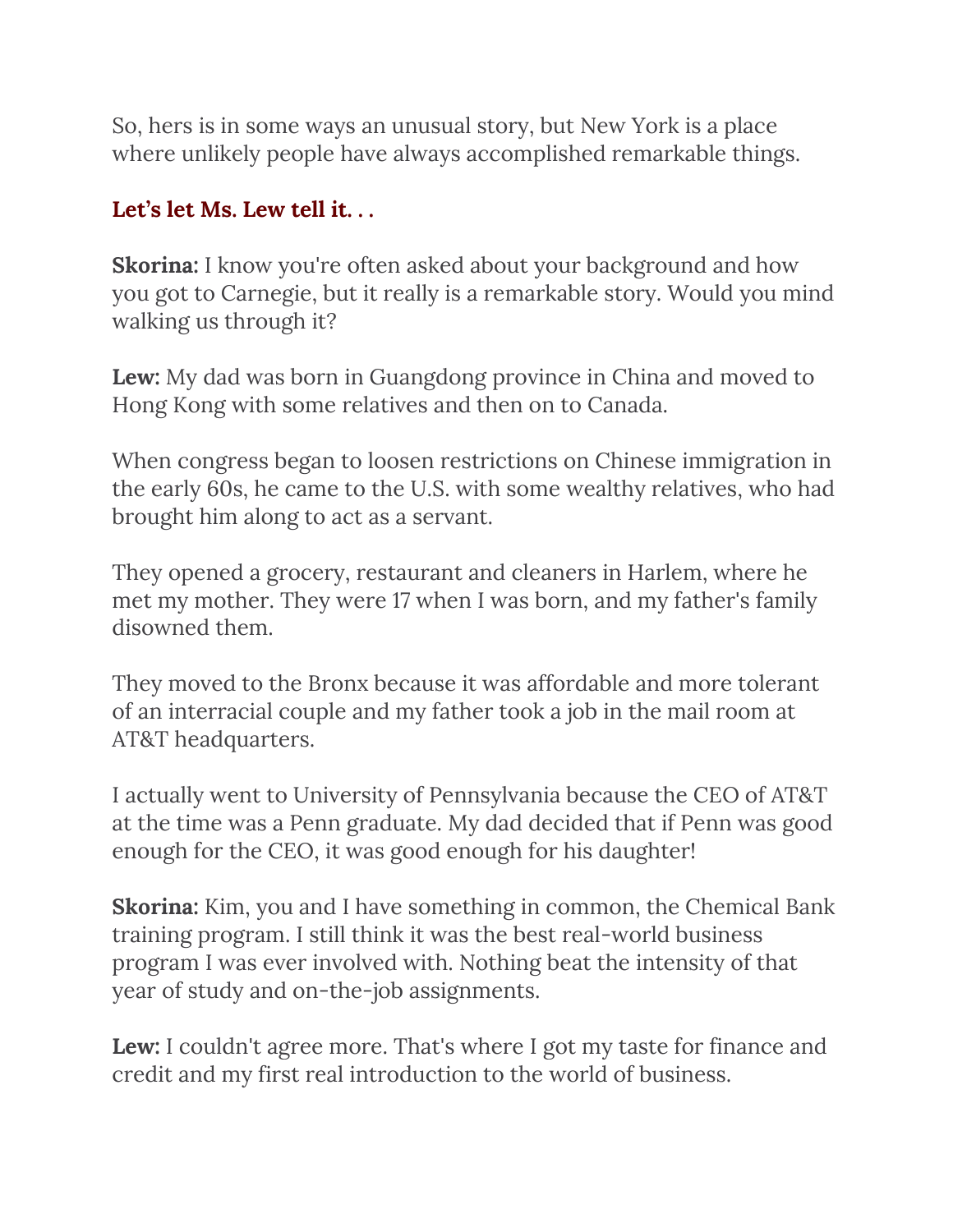So, hers is in some ways an unusual story, but New York is a place where unlikely people have always accomplished remarkable things.

### **Let's let Ms. Lew tell it. . .**

**Skorina:** I know you're often asked about your background and how you got to Carnegie, but it really is a remarkable story. Would you mind walking us through it?

**Lew:** My dad was born in Guangdong province in China and moved to Hong Kong with some relatives and then on to Canada.

When congress began to loosen restrictions on Chinese immigration in the early 60s, he came to the U.S. with some wealthy relatives, who had brought him along to act as a servant.

They opened a grocery, restaurant and cleaners in Harlem, where he met my mother. They were 17 when I was born, and my father's family disowned them.

They moved to the Bronx because it was affordable and more tolerant of an interracial couple and my father took a job in the mail room at AT&T headquarters.

I actually went to University of Pennsylvania because the CEO of AT&T at the time was a Penn graduate. My dad decided that if Penn was good enough for the CEO, it was good enough for his daughter!

**Skorina:** Kim, you and I have something in common, the Chemical Bank training program. I still think it was the best real-world business program I was ever involved with. Nothing beat the intensity of that year of study and on-the-job assignments.

**Lew:** I couldn't agree more. That's where I got my taste for finance and credit and my first real introduction to the world of business.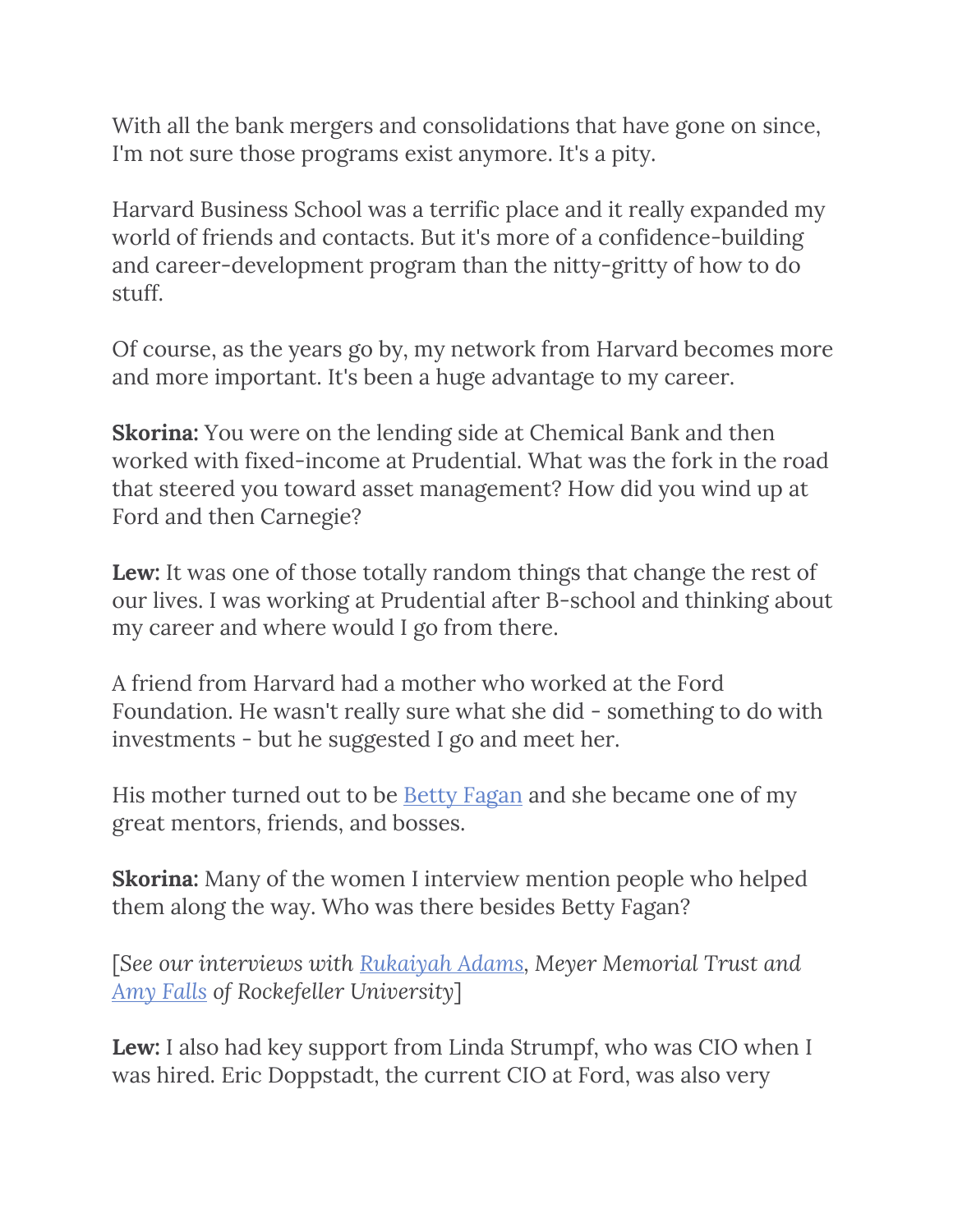With all the bank mergers and consolidations that have gone on since, I'm not sure those programs exist anymore. It's a pity.

Harvard Business School was a terrific place and it really expanded my world of friends and contacts. But it's more of a confidence-building and career-development program than the nitty-gritty of how to do stuff.

Of course, as the years go by, my network from Harvard becomes more and more important. It's been a huge advantage to my career.

**Skorina:** You were on the lending side at Chemical Bank and then worked with fixed-income at Prudential. What was the fork in the road that steered you toward asset management? How did you wind up at Ford and then Carnegie?

**Lew:** It was one of those totally random things that change the rest of our lives. I was working at Prudential after B-school and thinking about my career and where would I go from there.

A friend from Harvard had a mother who worked at the Ford Foundation. He wasn't really sure what she did - something to do with investments - but he suggested I go and meet her.

His mother turned out to be <u>Betty Fagan</u> and she became one of my great mentors, friends, and bosses.

**Skorina:** Many of the women I interview mention people who helped them along the way. Who was there besides Betty Fagan?

[*See our interviews with [Rukaiyah Adams,](http://www.charlesskorina.com/?s=rukaiyah) Meyer Memorial Trust and [Amy Falls](http://www.charlesskorina.com/?p=4357) of Rockefeller University*]

**Lew:** I also had key support from Linda Strumpf, who was CIO when I was hired. Eric Doppstadt, the current CIO at Ford, was also very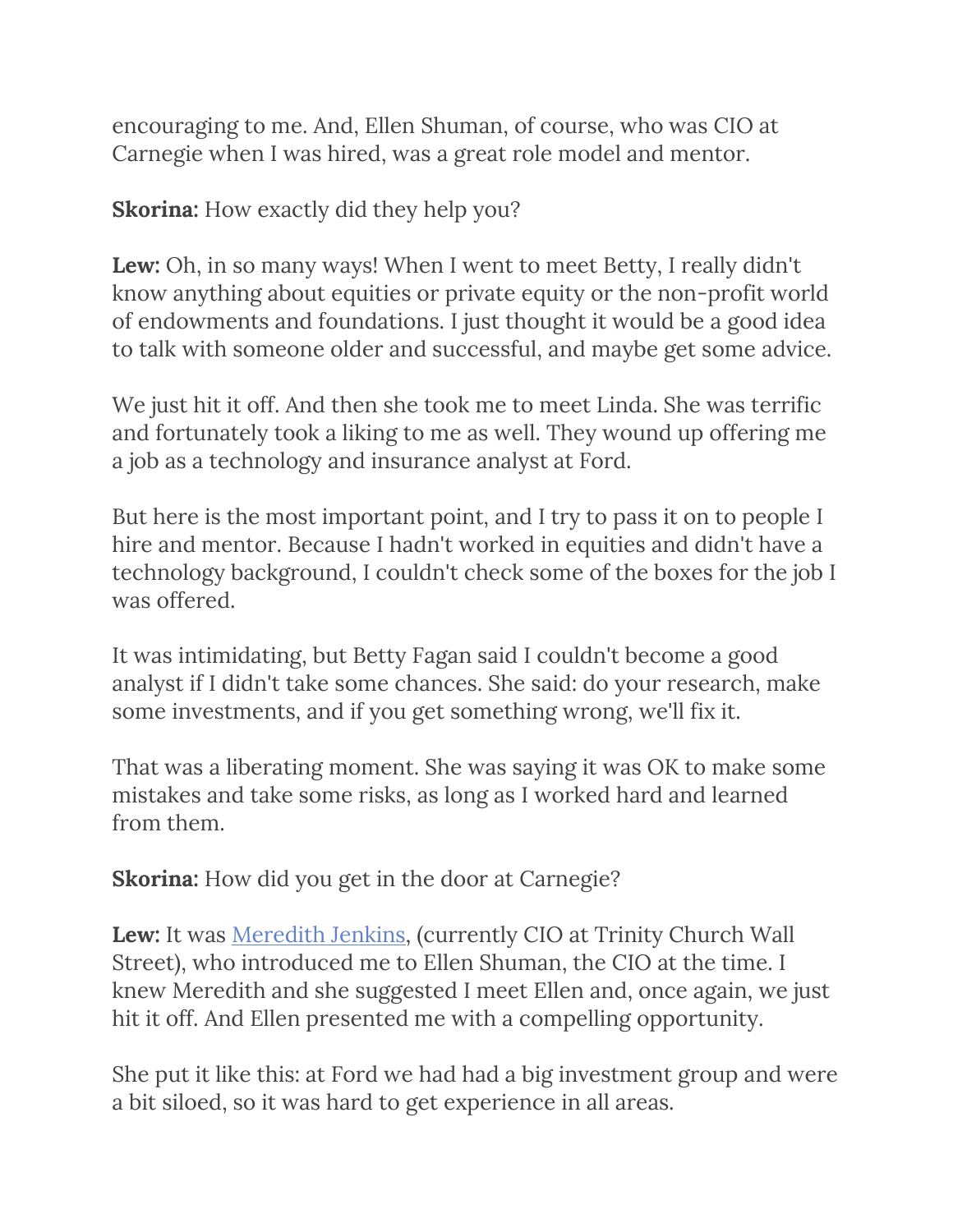encouraging to me. And, Ellen Shuman, of course, who was CIO at Carnegie when I was hired, was a great role model and mentor.

**Skorina:** How exactly did they help you?

**Lew:** Oh, in so many ways! When I went to meet Betty, I really didn't know anything about equities or private equity or the non-profit world of endowments and foundations. I just thought it would be a good idea to talk with someone older and successful, and maybe get some advice.

We just hit it off. And then she took me to meet Linda. She was terrific and fortunately took a liking to me as well. They wound up offering me a job as a technology and insurance analyst at Ford.

But here is the most important point, and I try to pass it on to people I hire and mentor. Because I hadn't worked in equities and didn't have a technology background, I couldn't check some of the boxes for the job I was offered.

It was intimidating, but Betty Fagan said I couldn't become a good analyst if I didn't take some chances. She said: do your research, make some investments, and if you get something wrong, we'll fix it.

That was a liberating moment. She was saying it was OK to make some mistakes and take some risks, as long as I worked hard and learned from them.

**Skorina:** How did you get in the door at Carnegie?

Lew: It was **Meredith Jenkins**, (currently CIO at Trinity Church Wall Street), who introduced me to Ellen Shuman, the CIO at the time. I knew Meredith and she suggested I meet Ellen and, once again, we just hit it off. And Ellen presented me with a compelling opportunity.

She put it like this: at Ford we had had a big investment group and were a bit siloed, so it was hard to get experience in all areas.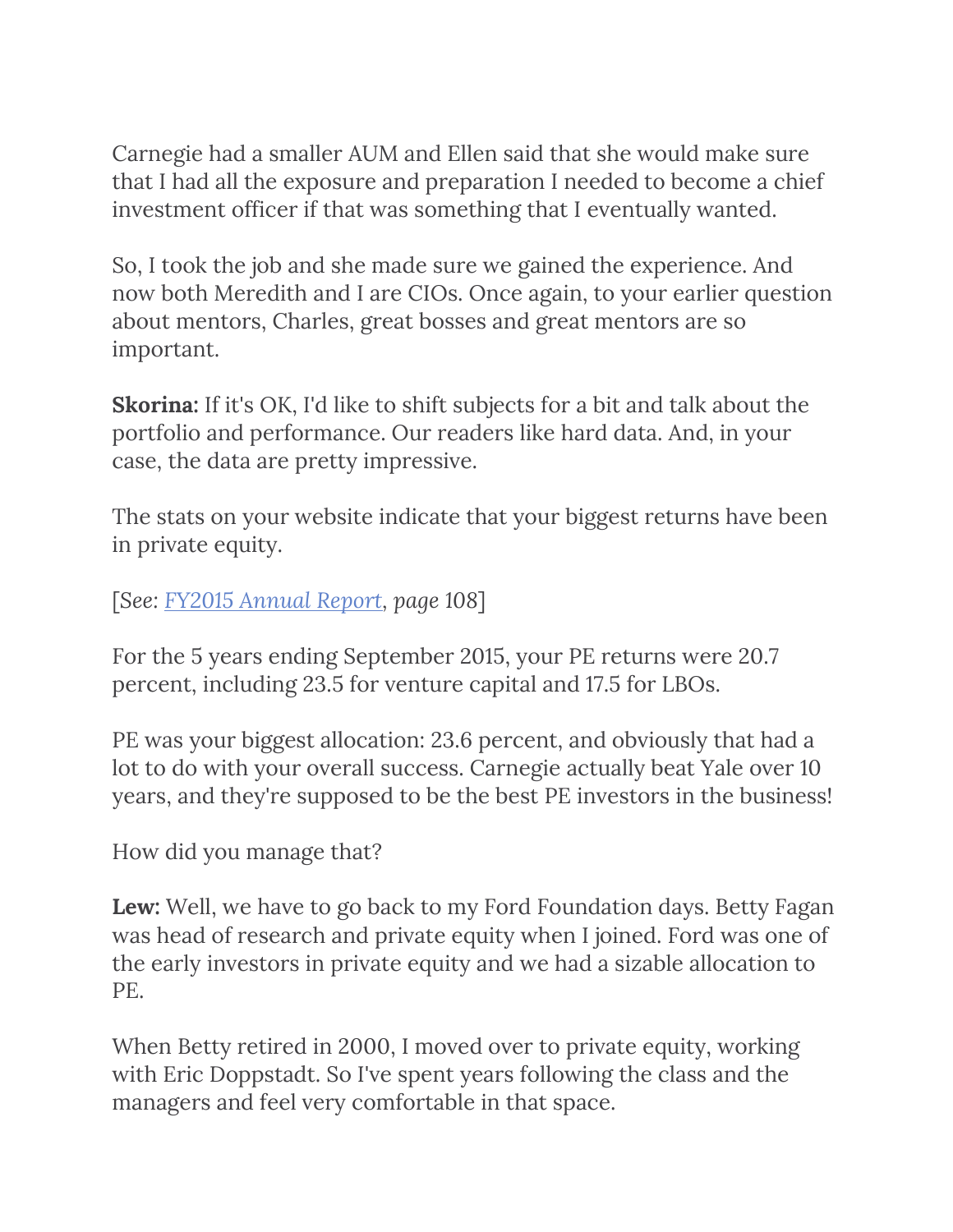Carnegie had a smaller AUM and Ellen said that she would make sure that I had all the exposure and preparation I needed to become a chief investment officer if that was something that I eventually wanted.

So, I took the job and she made sure we gained the experience. And now both Meredith and I are CIOs. Once again, to your earlier question about mentors, Charles, great bosses and great mentors are so important.

**Skorina:** If it's OK, I'd like to shift subjects for a bit and talk about the portfolio and performance. Our readers like hard data. And, in your case, the data are pretty impressive.

The stats on your website indicate that your biggest returns have been in private equity.

[*See: [FY2015 Annual Report,](https://production-carnegie.s3.amazonaws.com/filer_public/ca/c9/cac99875-2b2a-4f5f-ac6c-4b327e2f6ca8/annual_report_2015_fin.pdf) page 108*]

For the 5 years ending September 2015, your PE returns were 20.7 percent, including 23.5 for venture capital and 17.5 for LBOs.

PE was your biggest allocation: 23.6 percent, and obviously that had a lot to do with your overall success. Carnegie actually beat Yale over 10 years, and they're supposed to be the best PE investors in the business!

How did you manage that?

**Lew:** Well, we have to go back to my Ford Foundation days. Betty Fagan was head of research and private equity when I joined. Ford was one of the early investors in private equity and we had a sizable allocation to PE.

When Betty retired in 2000, I moved over to private equity, working with Eric Doppstadt. So I've spent years following the class and the managers and feel very comfortable in that space.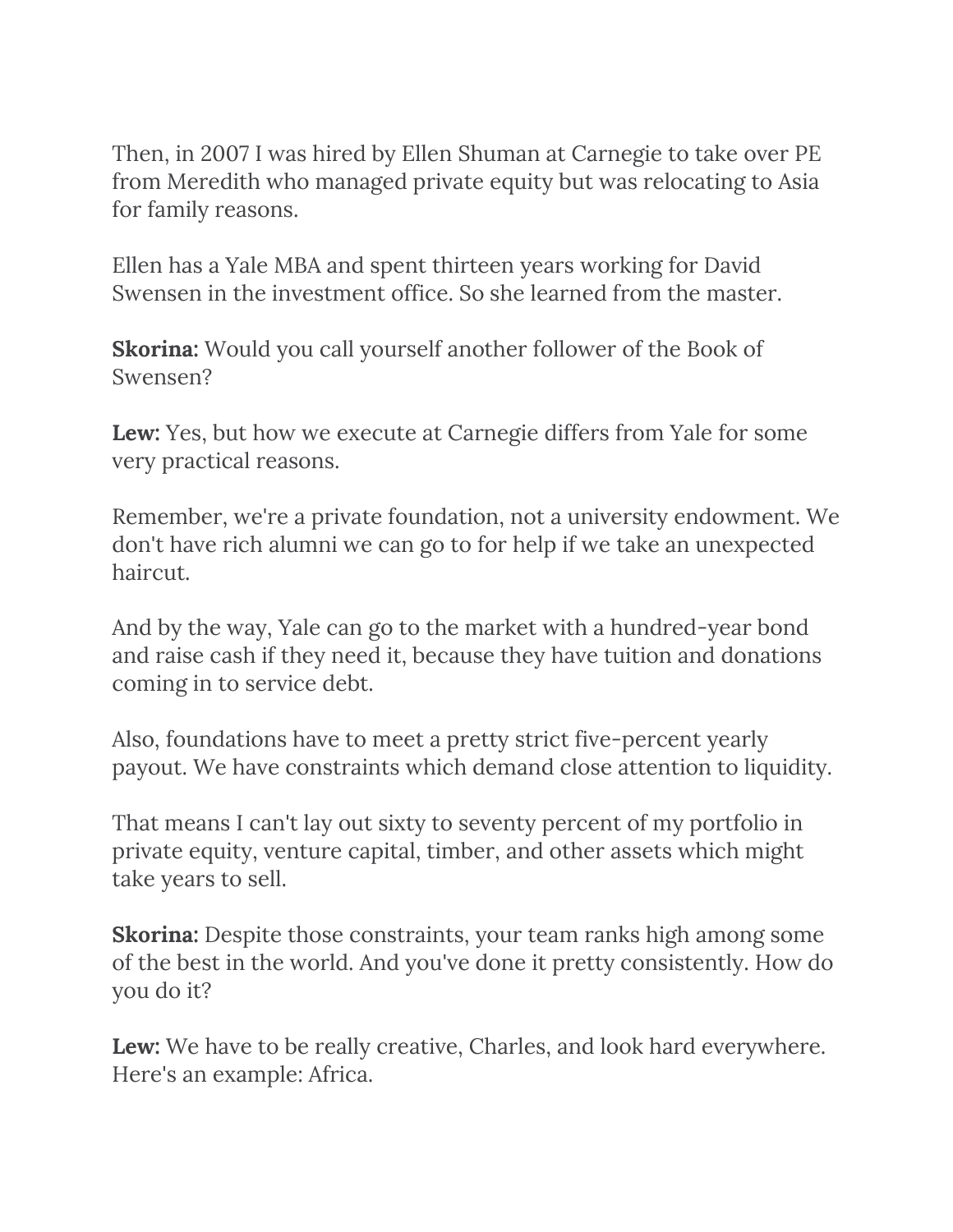Then, in 2007 I was hired by Ellen Shuman at Carnegie to take over PE from Meredith who managed private equity but was relocating to Asia for family reasons.

Ellen has a Yale MBA and spent thirteen years working for David Swensen in the investment office. So she learned from the master.

**Skorina:** Would you call yourself another follower of the Book of Swensen?

**Lew:** Yes, but how we execute at Carnegie differs from Yale for some very practical reasons.

Remember, we're a private foundation, not a university endowment. We don't have rich alumni we can go to for help if we take an unexpected haircut.

And by the way, Yale can go to the market with a hundred-year bond and raise cash if they need it, because they have tuition and donations coming in to service debt.

Also, foundations have to meet a pretty strict five-percent yearly payout. We have constraints which demand close attention to liquidity.

That means I can't lay out sixty to seventy percent of my portfolio in private equity, venture capital, timber, and other assets which might take years to sell.

**Skorina:** Despite those constraints, your team ranks high among some of the best in the world. And you've done it pretty consistently. How do you do it?

**Lew:** We have to be really creative, Charles, and look hard everywhere. Here's an example: Africa.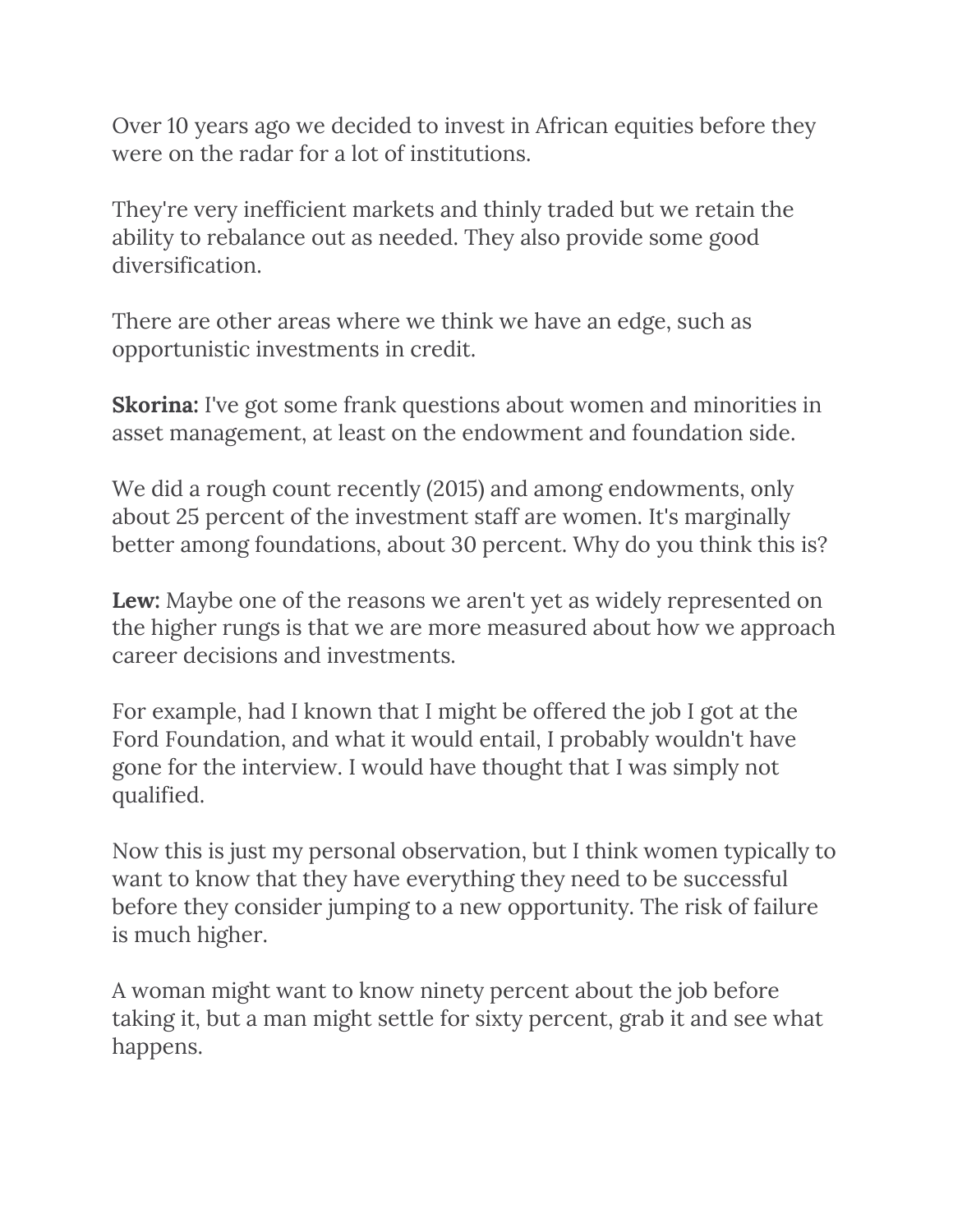Over 10 years ago we decided to invest in African equities before they were on the radar for a lot of institutions.

They're very inefficient markets and thinly traded but we retain the ability to rebalance out as needed. They also provide some good diversification.

There are other areas where we think we have an edge, such as opportunistic investments in credit.

**Skorina:** I've got some frank questions about women and minorities in asset management, at least on the endowment and foundation side.

We did a rough count recently (2015) and among endowments, only about 25 percent of the investment staff are women. It's marginally better among foundations, about 30 percent. Why do you think this is?

**Lew:** Maybe one of the reasons we aren't yet as widely represented on the higher rungs is that we are more measured about how we approach career decisions and investments.

For example, had I known that I might be offered the job I got at the Ford Foundation, and what it would entail, I probably wouldn't have gone for the interview. I would have thought that I was simply not qualified.

Now this is just my personal observation, but I think women typically to want to know that they have everything they need to be successful before they consider jumping to a new opportunity. The risk of failure is much higher.

A woman might want to know ninety percent about the job before taking it, but a man might settle for sixty percent, grab it and see what happens.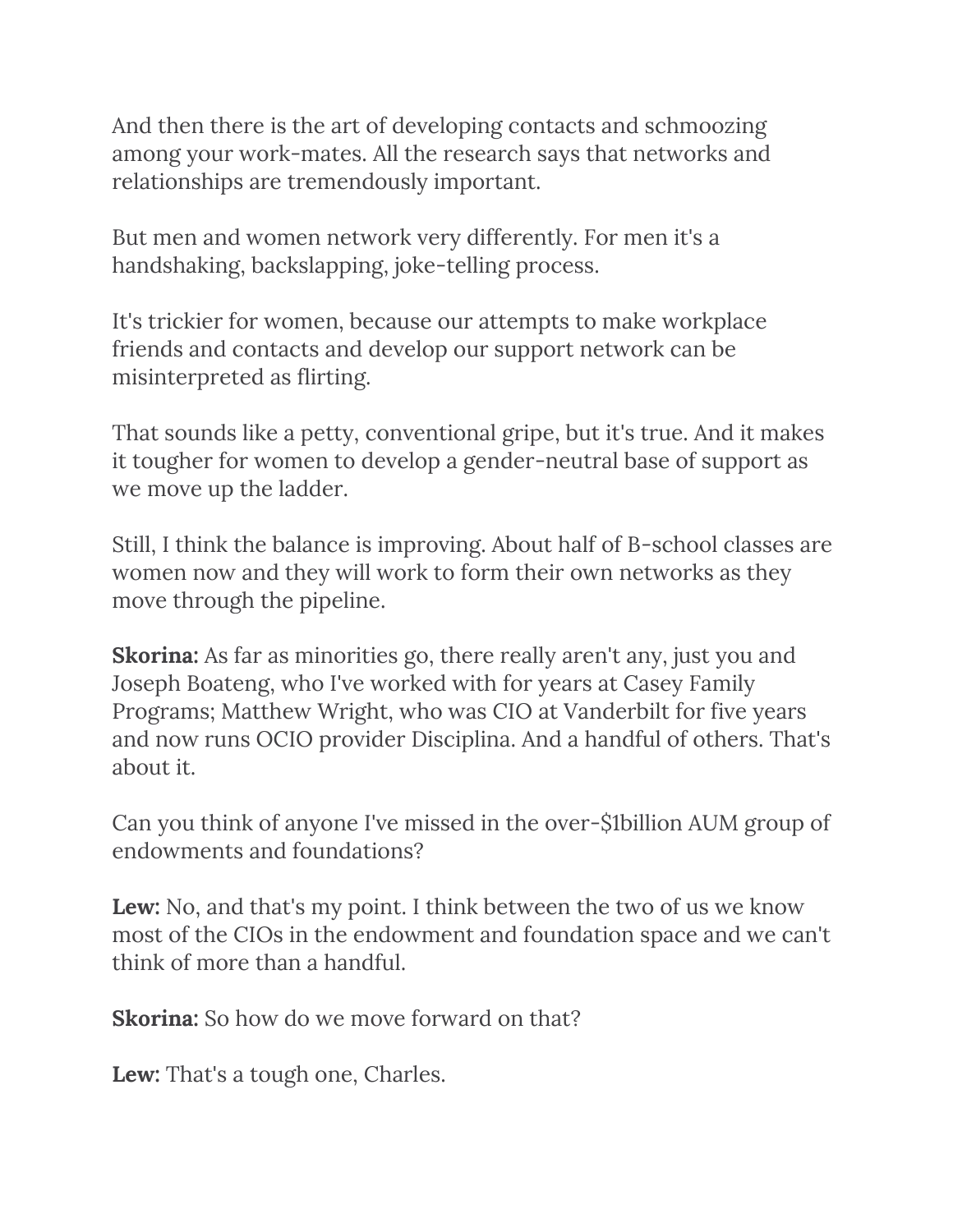And then there is the art of developing contacts and schmoozing among your work-mates. All the research says that networks and relationships are tremendously important.

But men and women network very differently. For men it's a handshaking, backslapping, joke-telling process.

It's trickier for women, because our attempts to make workplace friends and contacts and develop our support network can be misinterpreted as flirting.

That sounds like a petty, conventional gripe, but it's true. And it makes it tougher for women to develop a gender-neutral base of support as we move up the ladder.

Still, I think the balance is improving. About half of B-school classes are women now and they will work to form their own networks as they move through the pipeline.

**Skorina:** As far as minorities go, there really aren't any, just you and Joseph Boateng, who I've worked with for years at Casey Family Programs; Matthew Wright, who was CIO at Vanderbilt for five years and now runs OCIO provider Disciplina. And a handful of others. That's about it.

Can you think of anyone I've missed in the over-\$1billion AUM group of endowments and foundations?

**Lew:** No, and that's my point. I think between the two of us we know most of the CIOs in the endowment and foundation space and we can't think of more than a handful.

**Skorina:** So how do we move forward on that?

**Lew:** That's a tough one, Charles.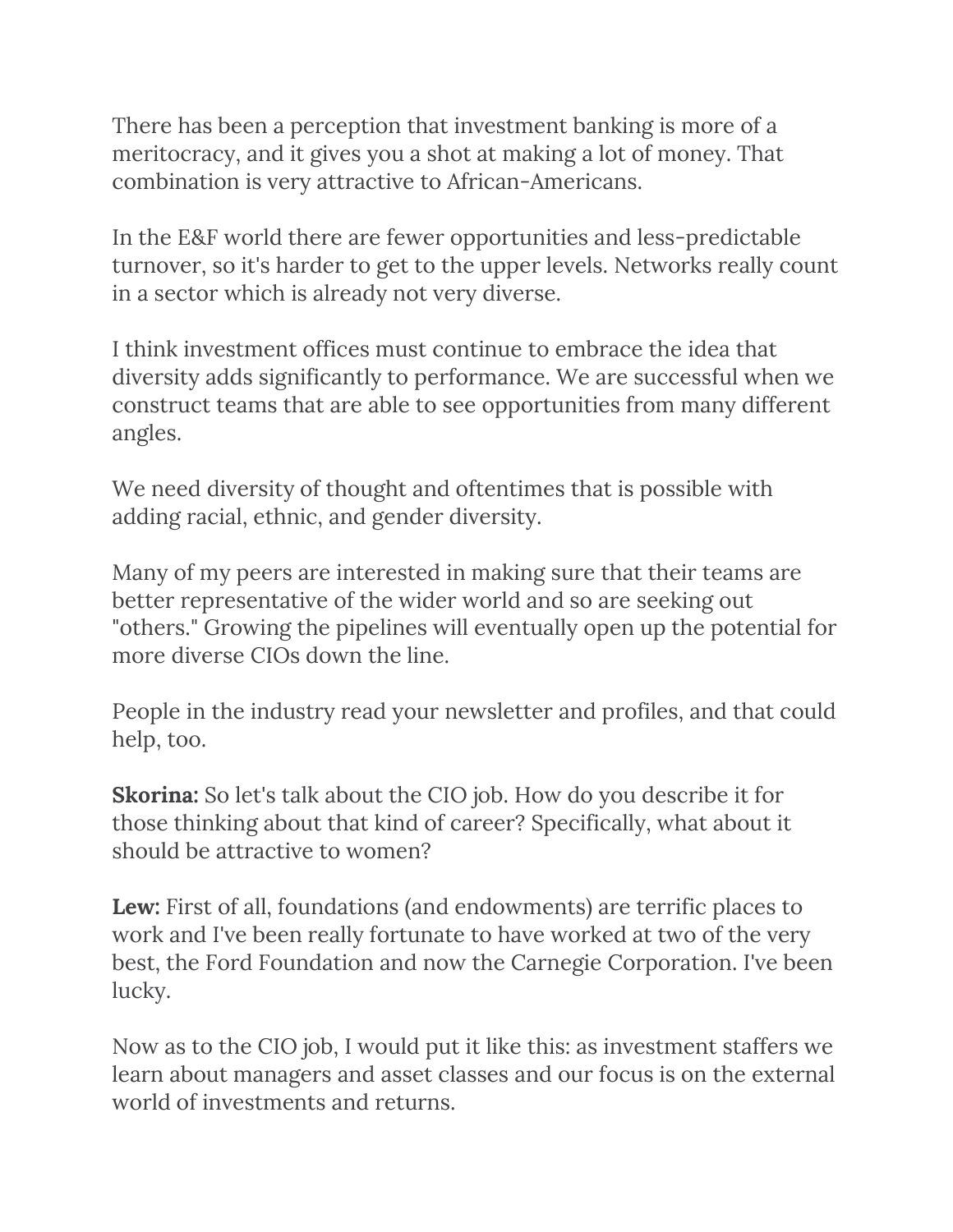There has been a perception that investment banking is more of a meritocracy, and it gives you a shot at making a lot of money. That combination is very attractive to African-Americans.

In the E&F world there are fewer opportunities and less-predictable turnover, so it's harder to get to the upper levels. Networks really count in a sector which is already not very diverse.

I think investment offices must continue to embrace the idea that diversity adds significantly to performance. We are successful when we construct teams that are able to see opportunities from many different angles.

We need diversity of thought and oftentimes that is possible with adding racial, ethnic, and gender diversity.

Many of my peers are interested in making sure that their teams are better representative of the wider world and so are seeking out "others." Growing the pipelines will eventually open up the potential for more diverse CIOs down the line.

People in the industry read your newsletter and profiles, and that could help, too.

**Skorina:** So let's talk about the CIO job. How do you describe it for those thinking about that kind of career? Specifically, what about it should be attractive to women?

**Lew:** First of all, foundations (and endowments) are terrific places to work and I've been really fortunate to have worked at two of the very best, the Ford Foundation and now the Carnegie Corporation. I've been lucky.

Now as to the CIO job, I would put it like this: as investment staffers we learn about managers and asset classes and our focus is on the external world of investments and returns.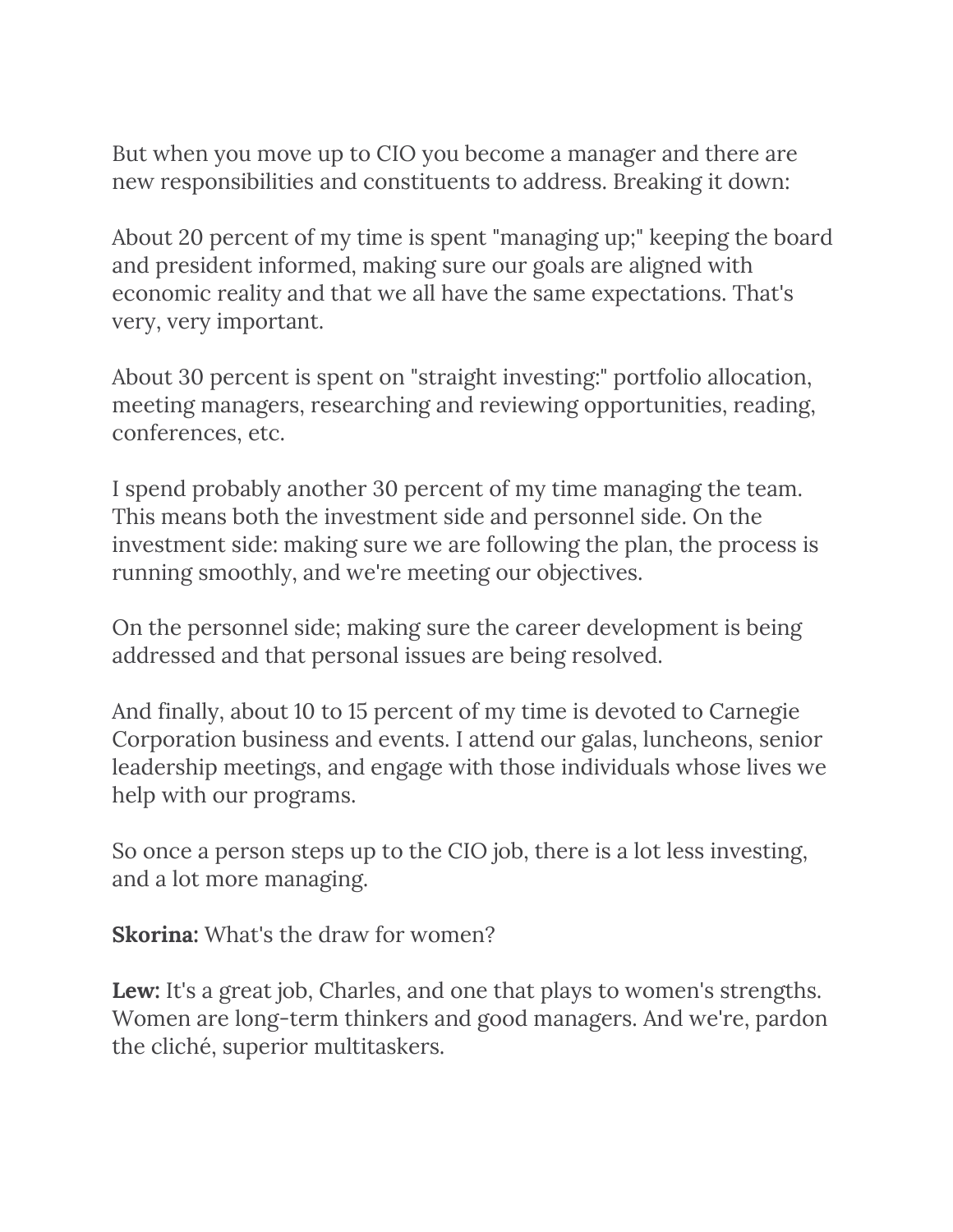But when you move up to CIO you become a manager and there are new responsibilities and constituents to address. Breaking it down:

About 20 percent of my time is spent "managing up;" keeping the board and president informed, making sure our goals are aligned with economic reality and that we all have the same expectations. That's very, very important.

About 30 percent is spent on "straight investing:" portfolio allocation, meeting managers, researching and reviewing opportunities, reading, conferences, etc.

I spend probably another 30 percent of my time managing the team. This means both the investment side and personnel side. On the investment side: making sure we are following the plan, the process is running smoothly, and we're meeting our objectives.

On the personnel side; making sure the career development is being addressed and that personal issues are being resolved.

And finally, about 10 to 15 percent of my time is devoted to Carnegie Corporation business and events. I attend our galas, luncheons, senior leadership meetings, and engage with those individuals whose lives we help with our programs.

So once a person steps up to the CIO job, there is a lot less investing, and a lot more managing.

**Skorina:** What's the draw for women?

**Lew:** It's a great job, Charles, and one that plays to women's strengths. Women are long-term thinkers and good managers. And we're, pardon the cliché, superior multitaskers.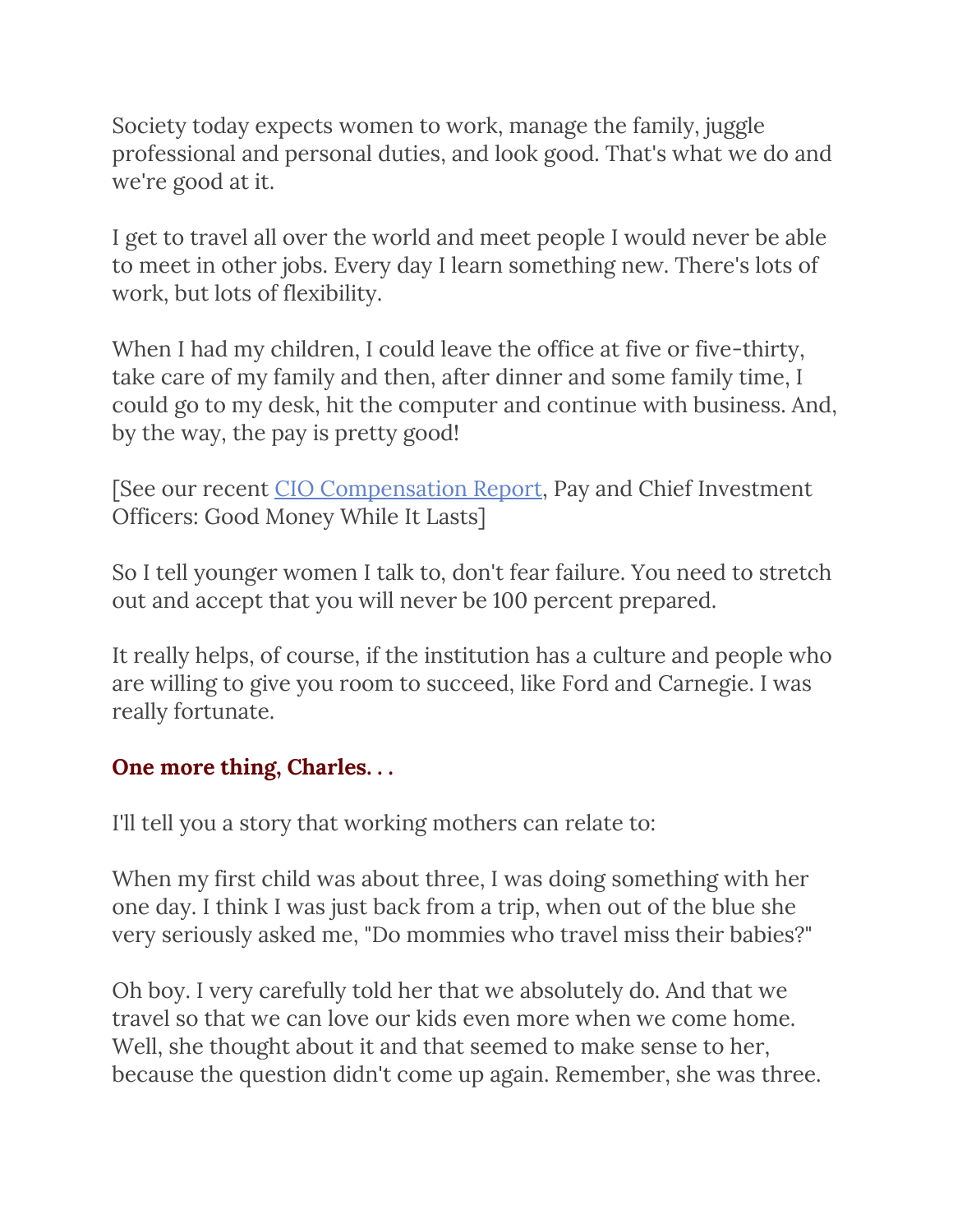Society today expects women to work, manage the family, juggle professional and personal duties, and look good. That's what we do and we're good at it.

I get to travel all over the world and meet people I would never be able to meet in other jobs. Every day I learn something new. There's lots of work, but lots of flexibility.

When I had my children, I could leave the office at five or five-thirty, take care of my family and then, after dinner and some family time, I could go to my desk, hit the computer and continue with business. And, by the way, the pay is pretty good!

[See our recent [CIO Compensation Report,](http://www.charlesskorina.com/?p=6786) Pay and Chief Investment Officers: Good Money While It Lasts]

So I tell younger women I talk to, don't fear failure. You need to stretch out and accept that you will never be 100 percent prepared.

It really helps, of course, if the institution has a culture and people who are willing to give you room to succeed, like Ford and Carnegie. I was really fortunate.

### **One more thing, Charles. . .**

I'll tell you a story that working mothers can relate to:

When my first child was about three, I was doing something with her one day. I think I was just back from a trip, when out of the blue she very seriously asked me, "Do mommies who travel miss their babies?"

Oh boy. I very carefully told her that we absolutely do. And that we travel so that we can love our kids even more when we come home. Well, she thought about it and that seemed to make sense to her, because the question didn't come up again. Remember, she was three.